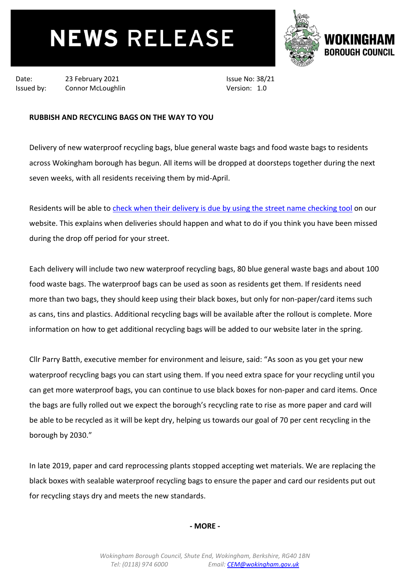## **NEWS RELEASE**



Date: 23 February 2021 Issued by: Connor McLoughlin Issue No: 38/21 Version: 1.0

## **RUBBISH AND RECYCLING BAGS ON THE WAY TO YOU**

Delivery of new waterproof recycling bags, blue general waste bags and food waste bags to residents across Wokingham borough has begun. All items will be dropped at doorsteps together during the next seven weeks, with all residents receiving them by mid-April.

Residents will be able to [check when their delivery is due by using the street](https://www.wokingham.gov.uk/rubbish-and-recycling/blue-bin-bags/annual-bin-bag-delivery/) name checking tool on our website. This explains when deliveries should happen and what to do if you think you have been missed during the drop off period for your street.

Each delivery will include two new waterproof recycling bags, 80 blue general waste bags and about 100 food waste bags. The waterproof bags can be used as soon as residents get them. If residents need more than two bags, they should keep using their black boxes, but only for non-paper/card items such as cans, tins and plastics. Additional recycling bags will be available after the rollout is complete. More information on how to get additional recycling bags will be added to our website later in the spring.

Cllr Parry Batth, executive member for environment and leisure, said: "As soon as you get your new waterproof recycling bags you can start using them. If you need extra space for your recycling until you can get more waterproof bags, you can continue to use black boxes for non-paper and card items. Once the bags are fully rolled out we expect the borough's recycling rate to rise as more paper and card will be able to be recycled as it will be kept dry, helping us towards our goal of 70 per cent recycling in the borough by 2030."

In late 2019, paper and card reprocessing plants stopped accepting wet materials. We are replacing the black boxes with sealable waterproof recycling bags to ensure the paper and card our residents put out for recycling stays dry and meets the new standards.

**- MORE -**